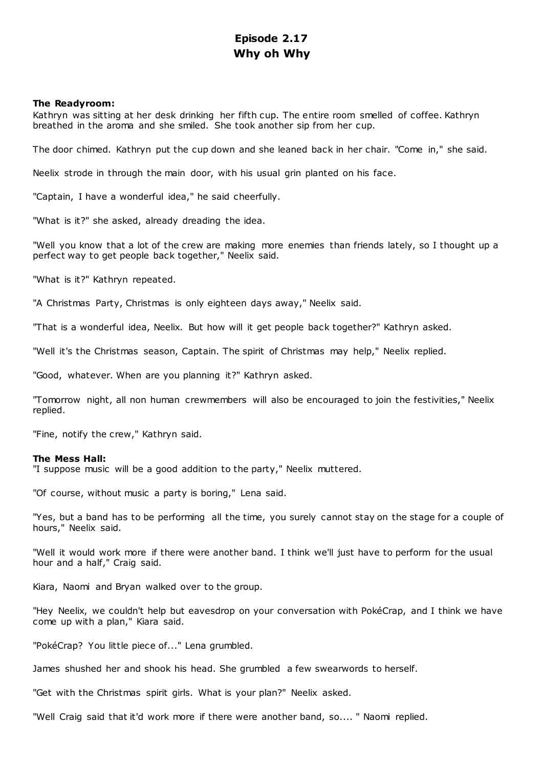# **Episode 2.17 Why oh Why**

# **The Readyroom:**

Kathryn was sitting at her desk drinking her fifth cup. The entire room smelled of coffee. Kathryn breathed in the aroma and she smiled. She took another sip from her cup.

The door chimed. Kathryn put the cup down and she leaned back in her chair. "Come in," she said.

Neelix strode in through the main door, with his usual grin planted on his face.

"Captain, I have a wonderful idea," he said cheerfully.

"What is it?" she asked, already dreading the idea.

"Well you know that a lot of the crew are making more enemies than friends lately, so I thought up a perfect way to get people back together," Neelix said.

"What is it?" Kathryn repeated.

"A Christmas Party, Christmas is only eighteen days away," Neelix said.

"That is a wonderful idea, Neelix. But how will it get people back together?" Kathryn asked.

"Well it's the Christmas season, Captain. The spirit of Christmas may help," Neelix replied.

"Good, whatever. When are you planning it?" Kathryn asked.

"Tomorrow night, all non human crewmembers will also be encouraged to join the festivities," Neelix replied.

"Fine, notify the crew," Kathryn said.

## **The Mess Hall:**

"I suppose music will be a good addition to the party," Neelix muttered.

"Of course, without music a party is boring," Lena said.

"Yes, but a band has to be performing all the time, you surely cannot stay on the stage for a couple of hours," Neelix said.

"Well it would work more if there were another band. I think we'll just have to perform for the usual hour and a half," Craig said.

Kiara, Naomi and Bryan walked over to the group.

"Hey Neelix, we couldn't help but eavesdrop on your conversation with PokéCrap, and I think we have come up with a plan," Kiara said.

"PokéCrap? You little piece of..." Lena grumbled.

James shushed her and shook his head. She grumbled a few swearwords to herself.

"Get with the Christmas spirit girls. What is your plan?" Neelix asked.

"Well Craig said that it'd work more if there were another band, so.... " Naomi replied.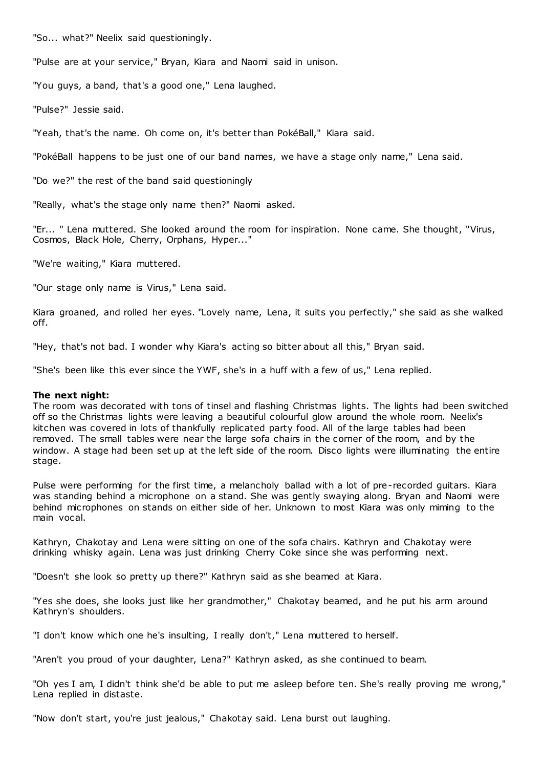"So... what?" Neelix said questioningly.

"Pulse are at your service," Bryan, Kiara and Naomi said in unison.

"You guys, a band, that's a good one," Lena laughed.

"Pulse?" Jessie said.

"Yeah, that's the name. Oh come on, it's better than PokéBall," Kiara said.

"PokéBall happens to be just one of our band names, we have a stage only name," Lena said.

"Do we?" the rest of the band said questioningly

"Really, what's the stage only name then?" Naomi asked.

"Er... " Lena muttered. She looked around the room for inspiration. None came. She thought, "Virus, Cosmos, Black Hole, Cherry, Orphans, Hyper..."

"We're waiting," Kiara muttered.

"Our stage only name is Virus," Lena said.

Kiara groaned, and rolled her eyes. "Lovely name, Lena, it suits you perfectly," she said as she walked off.

"Hey, that's not bad. I wonder why Kiara's acting so bitter about all this," Bryan said.

"She's been like this ever since the YWF, she's in a huff with a few of us," Lena replied.

#### **The next night:**

The room was decorated with tons of tinsel and flashing Christmas lights. The lights had been switched off so the Christmas lights were leaving a beautiful colourful glow around the whole room. Neelix's kitchen was covered in lots of thankfully replicated party food. All of the large tables had been removed. The small tables were near the large sofa chairs in the corner of the room, and by the window. A stage had been set up at the left side of the room. Disco lights were illuminating the entire stage.

Pulse were performing for the first time, a melancholy ballad with a lot of pre-recorded guitars. Kiara was standing behind a microphone on a stand. She was gently swaying along. Bryan and Naomi were behind microphones on stands on either side of her. Unknown to most Kiara was only miming to the main vocal.

Kathryn, Chakotay and Lena were sitting on one of the sofa chairs. Kathryn and Chakotay were drinking whisky again. Lena was just drinking Cherry Coke since she was performing next.

"Doesn't she look so pretty up there?" Kathryn said as she beamed at Kiara.

"Yes she does, she looks just like her grandmother," Chakotay beamed, and he put his arm around Kathryn's shoulders.

"I don't know which one he's insulting, I really don't," Lena muttered to herself.

"Aren't you proud of your daughter, Lena?" Kathryn asked, as she continued to beam.

"Oh yes I am, I didn't think she'd be able to put me asleep before ten. She's really proving me wrong," Lena replied in distaste.

"Now don't start, you're just jealous," Chakotay said. Lena burst out laughing.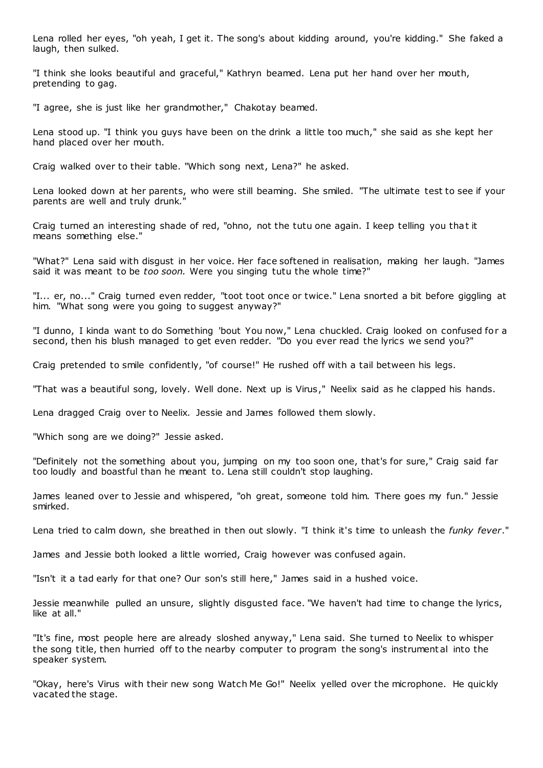Lena rolled her eyes, "oh yeah, I get it. The song's about kidding around, you're kidding." She faked a laugh, then sulked.

"I think she looks beautiful and graceful," Kathryn beamed. Lena put her hand over her mouth, pretending to gag.

"I agree, she is just like her grandmother," Chakotay beamed.

Lena stood up. "I think you guys have been on the drink a little too much," she said as she kept her hand placed over her mouth.

Craig walked over to their table. "Which song next, Lena?" he asked.

Lena looked down at her parents, who were still beaming. She smiled. "The ultimate test to see if your parents are well and truly drunk."

Craig turned an interesting shade of red, "ohno, not the tutu one again. I keep telling you that it means something else."

"What?" Lena said with disgust in her voice. Her face softened in realisation, making her laugh. "James said it was meant to be *too soon.* Were you singing tutu the whole time?"

"I... er, no..." Craig turned even redder, "toot toot once or twice." Lena snorted a bit before giggling at him. "What song were you going to suggest anyway?"

"I dunno, I kinda want to do Something 'bout You now," Lena chuckled. Craig looked on confused for a second, then his blush managed to get even redder. "Do you ever read the lyrics we send you?"

Craig pretended to smile confidently, "of course!" He rushed off with a tail between his legs.

"That was a beautiful song, lovely. Well done. Next up is Virus," Neelix said as he clapped his hands.

Lena dragged Craig over to Neelix. Jessie and James followed them slowly.

"Which song are we doing?" Jessie asked.

"Definitely not the something about you, jumping on my too soon one, that's for sure," Craig said far too loudly and boastful than he meant to. Lena still couldn't stop laughing.

James leaned over to Jessie and whispered, "oh great, someone told him. There goes my fun." Jessie smirked.

Lena tried to calm down, she breathed in then out slowly. "I think it's time to unleash the *funky fever*."

James and Jessie both looked a little worried, Craig however was confused again.

"Isn't it a tad early for that one? Our son's still here," James said in a hushed voice.

Jessie meanwhile pulled an unsure, slightly disgusted face. "We haven't had time to change the lyrics, like at all."

"It's fine, most people here are already sloshed anyway," Lena said. She turned to Neelix to whisper the song title, then hurried off to the nearby computer to program the song's instrument al into the speaker system.

"Okay, here's Virus with their new song Watch Me Go!" Neelix yelled over the microphone. He quickly vacated the stage.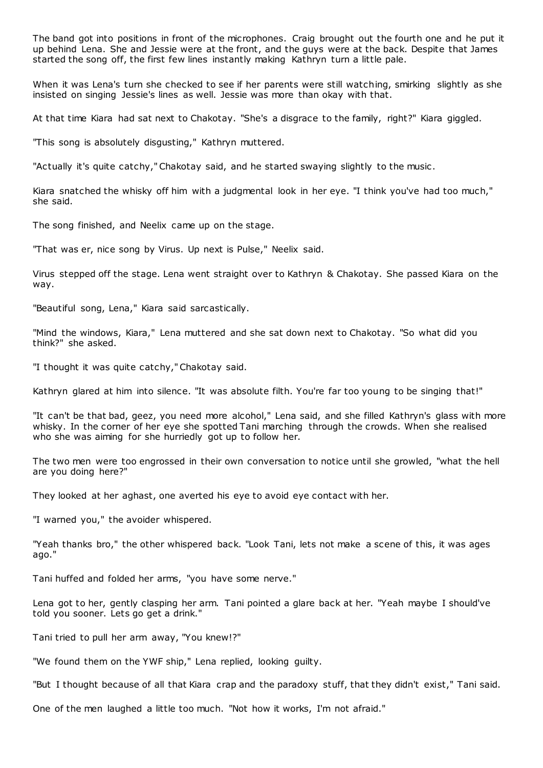The band got into positions in front of the microphones. Craig brought out the fourth one and he put it up behind Lena. She and Jessie were at the front, and the guys were at the back. Despite that James started the song off, the first few lines instantly making Kathryn turn a little pale.

When it was Lena's turn she checked to see if her parents were still watching, smirking slightly as she insisted on singing Jessie's lines as well. Jessie was more than okay with that.

At that time Kiara had sat next to Chakotay. "She's a disgrace to the family, right?" Kiara giggled.

"This song is absolutely disgusting," Kathryn muttered.

"Actually it's quite catchy," Chakotay said, and he started swaying slightly to the music .

Kiara snatched the whisky off him with a judgmental look in her eye. "I think you've had too much," she said.

The song finished, and Neelix came up on the stage.

"That was er, nice song by Virus. Up next is Pulse," Neelix said.

Virus stepped off the stage. Lena went straight over to Kathryn & Chakotay. She passed Kiara on the way.

"Beautiful song, Lena," Kiara said sarcastically.

"Mind the windows, Kiara," Lena muttered and she sat down next to Chakotay. "So what did you think?" she asked.

"I thought it was quite catchy," Chakotay said.

Kathryn glared at him into silence. "It was absolute filth. You're far too young to be singing that!"

"It can't be that bad, geez, you need more alcohol," Lena said, and she filled Kathryn's glass with more whisky. In the corner of her eye she spotted Tani marching through the crowds. When she realised who she was aiming for she hurriedly got up to follow her.

The two men were too engrossed in their own conversation to notice until she growled, "what the hell are you doing here?"

They looked at her aghast, one averted his eye to avoid eye contact with her.

"I warned you," the avoider whispered.

"Yeah thanks bro," the other whispered back. "Look Tani, lets not make a scene of this, it was ages ago."

Tani huffed and folded her arms, "you have some nerve."

Lena got to her, gently clasping her arm. Tani pointed a glare back at her. "Yeah maybe I should've told you sooner. Lets go get a drink."

Tani tried to pull her arm away, "You knew!?"

"We found them on the YWF ship," Lena replied, looking guilty.

"But I thought because of all that Kiara crap and the paradoxy stuff, that they didn't exist," Tani said.

One of the men laughed a little too much. "Not how it works, I'm not afraid."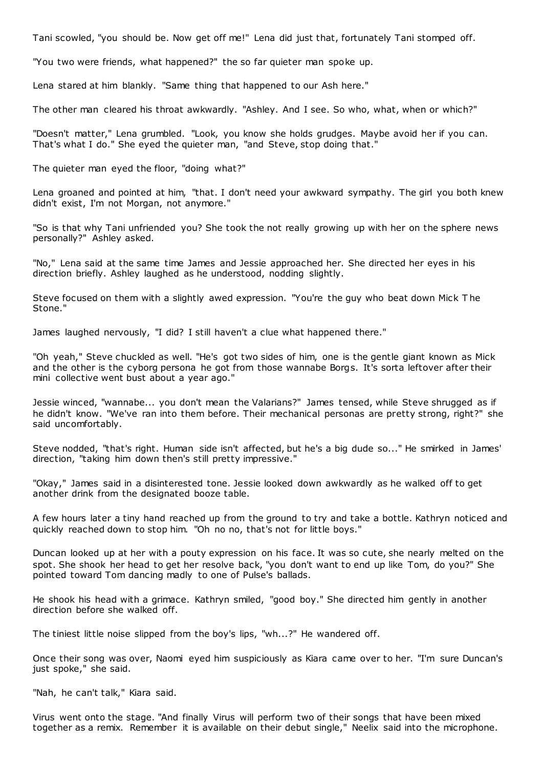Tani scowled, "you should be. Now get off me!" Lena did just that, fortunately Tani stomped off.

"You two were friends, what happened?" the so far quieter man spoke up.

Lena stared at him blankly. "Same thing that happened to our Ash here."

The other man cleared his throat awkwardly. "Ashley. And I see. So who, what, when or which?"

"Doesn't matter," Lena grumbled. "Look, you know she holds grudges. Maybe avoid her if you can. That's what I do." She eyed the quieter man, "and Steve, stop doing that."

The quieter man eyed the floor, "doing what?"

Lena groaned and pointed at him, "that. I don't need your awkward sympathy. The girl you both knew didn't exist, I'm not Morgan, not anymore."

"So is that why Tani unfriended you? She took the not really growing up with her on the sphere news personally?" Ashley asked.

"No," Lena said at the same time James and Jessie approached her. She directed her eyes in his direction briefly. Ashley laughed as he understood, nodding slightly.

Steve focused on them with a slightly awed expression. "You're the guy who beat down Mick T he Stone."

James laughed nervously, "I did? I still haven't a clue what happened there."

"Oh yeah," Steve chuckled as well. "He's got two sides of him, one is the gentle giant known as Mick and the other is the cyborg persona he got from those wannabe Borgs. It's sorta leftover after their mini collective went bust about a year ago."

Jessie winced, "wannabe... you don't mean the Valarians?" James tensed, while Steve shrugged as if he didn't know. "We've ran into them before. Their mechanical personas are pretty strong, right?" she said uncomfortably.

Steve nodded, "that's right. Human side isn't affected, but he's a big dude so..." He smirked in James' direction, "taking him down then's still pretty impressive."

"Okay," James said in a disinterested tone. Jessie looked down awkwardly as he walked off to get another drink from the designated booze table.

A few hours later a tiny hand reached up from the ground to try and take a bottle. Kathryn noticed and quickly reached down to stop him. "Oh no no, that's not for little boys."

Duncan looked up at her with a pouty expression on his face. It was so cute, she nearly melted on the spot. She shook her head to get her resolve back, "you don't want to end up like Tom, do you?" She pointed toward Tom dancing madly to one of Pulse's ballads.

He shook his head with a grimace. Kathryn smiled, "good boy." She directed him gently in another direction before she walked off.

The tiniest little noise slipped from the boy's lips, "wh...?" He wandered off.

Once their song was over, Naomi eyed him suspiciously as Kiara came over to her. "I'm sure Duncan's just spoke," she said.

"Nah, he can't talk," Kiara said.

Virus went onto the stage. "And finally Virus will perform two of their songs that have been mixed together as a remix. Remember it is available on their debut single," Neelix said into the microphone.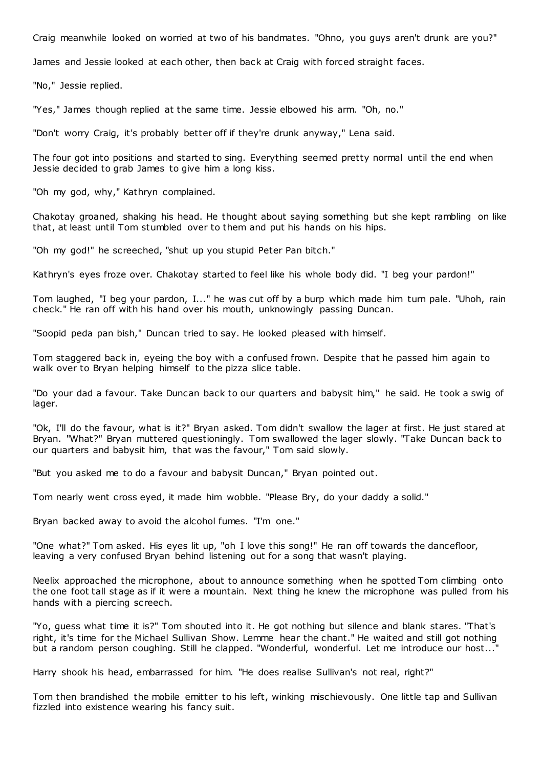Craig meanwhile looked on worried at two of his bandmates. "Ohno, you guys aren't drunk are you?"

James and Jessie looked at each other, then back at Craig with forced straight faces.

"No," Jessie replied.

"Yes," James though replied at the same time. Jessie elbowed his arm. "Oh, no."

"Don't worry Craig, it's probably better off if they're drunk anyway," Lena said.

The four got into positions and started to sing. Everything seemed pretty normal until the end when Jessie decided to grab James to give him a long kiss.

"Oh my god, why," Kathryn complained.

Chakotay groaned, shaking his head. He thought about saying something but she kept rambling on like that, at least until Tom stumbled over to them and put his hands on his hips.

"Oh my god!" he screeched, "shut up you stupid Peter Pan bitch."

Kathryn's eyes froze over. Chakotay started to feel like his whole body did. "I beg your pardon!"

Tom laughed, "I beg your pardon, I..." he was cut off by a burp which made him turn pale. "Uhoh, rain check." He ran off with his hand over his mouth, unknowingly passing Duncan.

"Soopid peda pan bish," Duncan tried to say. He looked pleased with himself.

Tom staggered back in, eyeing the boy with a confused frown. Despite that he passed him again to walk over to Bryan helping himself to the pizza slice table.

"Do your dad a favour. Take Duncan back to our quarters and babysit him," he said. He took a swig of lager.

"Ok, I'll do the favour, what is it?" Bryan asked. Tom didn't swallow the lager at first. He just stared at Bryan. "What?" Bryan muttered questioningly. Tom swallowed the lager slowly. "Take Duncan back to our quarters and babysit him, that was the favour," Tom said slowly.

"But you asked me to do a favour and babysit Duncan," Bryan pointed out.

Tom nearly went cross eyed, it made him wobble. "Please Bry, do your daddy a solid."

Bryan backed away to avoid the alcohol fumes. "I'm one."

"One what?" Tom asked. His eyes lit up, "oh I love this song!" He ran off towards the dancefloor, leaving a very confused Bryan behind listening out for a song that wasn't playing.

Neelix approached the microphone, about to announce something when he spotted Tom climbing onto the one foot tall stage as if it were a mountain. Next thing he knew the microphone was pulled from his hands with a piercing screech.

"Yo, guess what time it is?" Tom shouted into it. He got nothing but silence and blank stares. "That's right, it's time for the Michael Sullivan Show. Lemme hear the chant." He waited and still got nothing but a random person coughing. Still he clapped. "Wonderful, wonderful. Let me introduce our host...

Harry shook his head, embarrassed for him. "He does realise Sullivan's not real, right?"

Tom then brandished the mobile emitter to his left, winking mischievously. One little tap and Sullivan fizzled into existence wearing his fancy suit.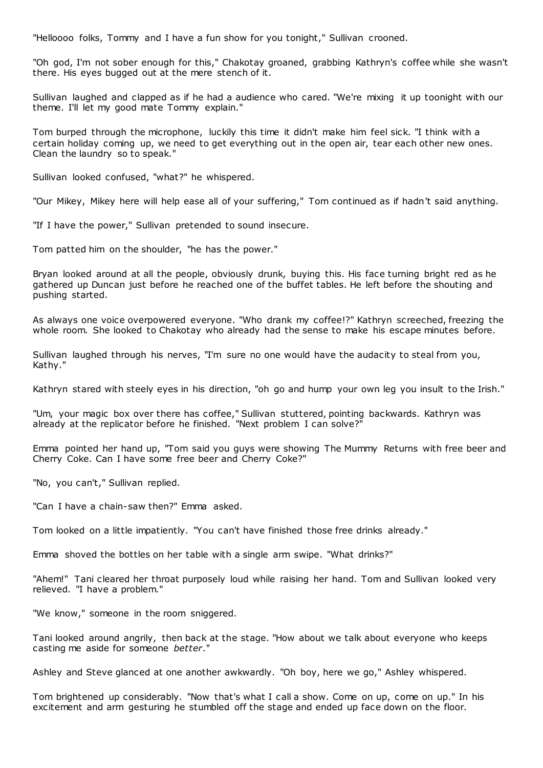"Helloooo folks, Tommy and I have a fun show for you tonight," Sullivan crooned.

"Oh god, I'm not sober enough for this," Chakotay groaned, grabbing Kathryn's coffee while she wasn't there. His eyes bugged out at the mere stench of it.

Sullivan laughed and clapped as if he had a audience who cared. "We're mixing it up toonight with our theme. I'll let my good mate Tommy explain."

Tom burped through the microphone, luckily this time it didn't make him feel sick. "I think with a certain holiday coming up, we need to get everything out in the open air, tear each other new ones. Clean the laundry so to speak."

Sullivan looked confused, "what?" he whispered.

"Our Mikey, Mikey here will help ease all of your suffering," Tom continued as if hadn't said anything.

"If I have the power," Sullivan pretended to sound insecure.

Tom patted him on the shoulder, "he has the power."

Bryan looked around at all the people, obviously drunk, buying this. His face turning bright red as he gathered up Duncan just before he reached one of the buffet tables. He left before the shouting and pushing started.

As always one voice overpowered everyone. "Who drank my coffee!?" Kathryn screeched, freezing the whole room. She looked to Chakotay who already had the sense to make his escape minutes before.

Sullivan laughed through his nerves, "I'm sure no one would have the audacity to steal from you, Kathy."

Kathryn stared with steely eyes in his direction, "oh go and hump your own leg you insult to the Irish."

"Um, your magic box over there has coffee," Sullivan stuttered, pointing backwards. Kathryn was already at the replicator before he finished. "Next problem I can solve?"

Emma pointed her hand up, "Tom said you guys were showing The Mummy Returns with free beer and Cherry Coke. Can I have some free beer and Cherry Coke?"

"No, you can't," Sullivan replied.

"Can I have a chain-saw then?" Emma asked.

Tom looked on a little impatiently. "You can't have finished those free drinks already."

Emma shoved the bottles on her table with a single arm swipe. "What drinks?"

"Ahem!" Tani cleared her throat purposely loud while raising her hand. Tom and Sullivan looked very relieved. "I have a problem."

"We know," someone in the room sniggered.

Tani looked around angrily, then back at the stage. "How about we talk about everyone who keeps casting me aside for someone *better*."

Ashley and Steve glanced at one another awkwardly. "Oh boy, here we go," Ashley whispered.

Tom brightened up considerably. "Now that's what I call a show. Come on up, come on up." In his excitement and arm gesturing he stumbled off the stage and ended up face down on the floor.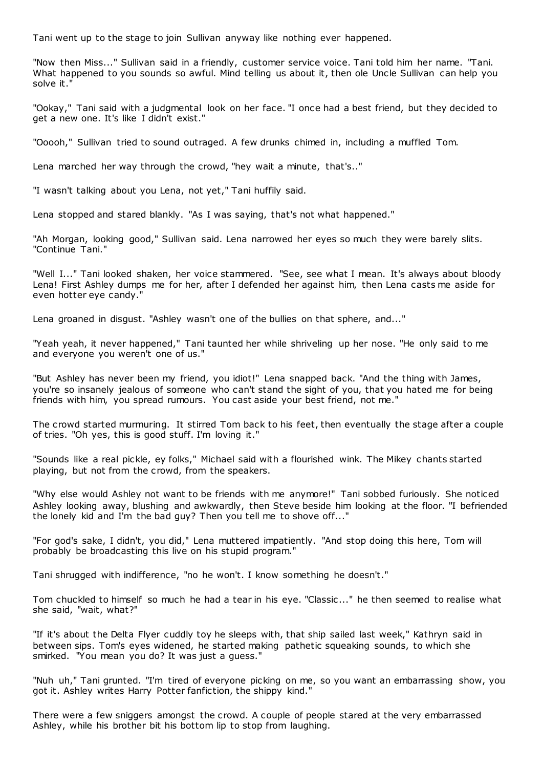Tani went up to the stage to join Sullivan anyway like nothing ever happened.

"Now then Miss..." Sullivan said in a friendly, customer service voice. Tani told him her name. "Tani. What happened to you sounds so awful. Mind telling us about it, then ole Uncle Sullivan can help you solve it."

"Ookay," Tani said with a judgmental look on her face. "I once had a best friend, but they decided to get a new one. It's like I didn't exist."

"Ooooh," Sullivan tried to sound outraged. A few drunks chimed in, including a muffled Tom.

Lena marched her way through the crowd, "hey wait a minute, that's.."

"I wasn't talking about you Lena, not yet," Tani huffily said.

Lena stopped and stared blankly. "As I was saying, that's not what happened."

"Ah Morgan, looking good," Sullivan said. Lena narrowed her eyes so much they were barely slits. "Continue Tani."

"Well I..." Tani looked shaken, her voice stammered. "See, see what I mean. It's always about bloody Lena! First Ashley dumps me for her, after I defended her against him, then Lena casts me aside for even hotter eye candy."

Lena groaned in disgust. "Ashley wasn't one of the bullies on that sphere, and..."

"Yeah yeah, it never happened," Tani taunted her while shriveling up her nose. "He only said to me and everyone you weren't one of us."

"But Ashley has never been my friend, you idiot!" Lena snapped back. "And the thing with James, you're so insanely jealous of someone who can't stand the sight of you, that you hated me for being friends with him, you spread rumours. You cast aside your best friend, not me."

The crowd started murmuring. It stirred Tom back to his feet, then eventually the stage after a couple of tries. "Oh yes, this is good stuff. I'm loving it."

"Sounds like a real pickle, ey folks," Michael said with a flourished wink. The Mikey chants started playing, but not from the crowd, from the speakers.

"Why else would Ashley not want to be friends with me anymore!" Tani sobbed furiously. She noticed Ashley looking away, blushing and awkwardly, then Steve beside him looking at the floor. "I befriended the lonely kid and I'm the bad guy? Then you tell me to shove off..."

"For god's sake, I didn't, you did," Lena muttered impatiently. "And stop doing this here, Tom will probably be broadcasting this live on his stupid program."

Tani shrugged with indifference, "no he won't. I know something he doesn't."

Tom chuckled to himself so much he had a tear in his eye. "Classic ..." he then seemed to realise what she said, "wait, what?"

"If it's about the Delta Flyer cuddly toy he sleeps with, that ship sailed last week," Kathryn said in between sips. Tom's eyes widened, he started making pathetic squeaking sounds, to which she smirked. "You mean you do? It was just a guess."

"Nuh uh," Tani grunted. "I'm tired of everyone picking on me, so you want an embarrassing show, you got it. Ashley writes Harry Potter fanfiction, the shippy kind."

There were a few sniggers amongst the crowd. A couple of people stared at the very embarrassed Ashley, while his brother bit his bottom lip to stop from laughing.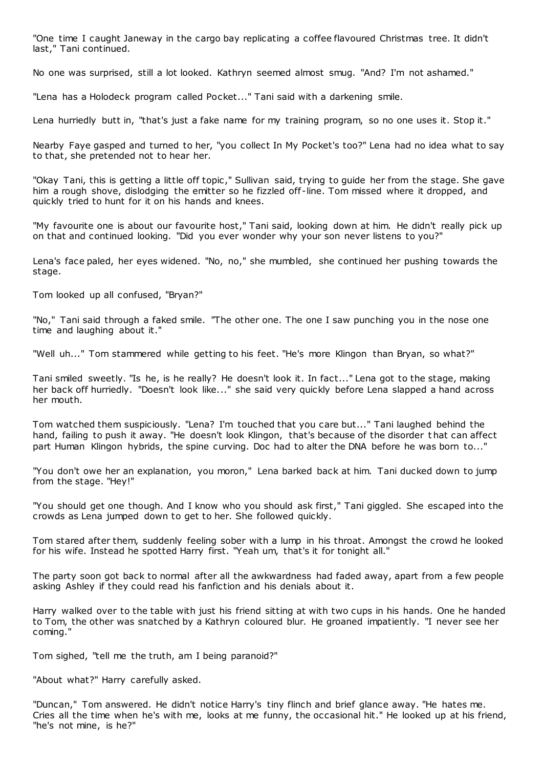"One time I caught Janeway in the cargo bay replicating a coffee flavoured Christmas tree. It didn't last," Tani continued.

No one was surprised, still a lot looked. Kathryn seemed almost smug. "And? I'm not ashamed."

"Lena has a Holodeck program called Pocket..." Tani said with a darkening smile.

Lena hurriedly butt in, "that's just a fake name for my training program, so no one uses it. Stop it."

Nearby Faye gasped and turned to her, "you collect In My Pocket's too?" Lena had no idea what to say to that, she pretended not to hear her.

"Okay Tani, this is getting a little off topic," Sullivan said, trying to guide her from the stage. She gave him a rough shove, dislodging the emitter so he fizzled off-line. Tom missed where it dropped, and quickly tried to hunt for it on his hands and knees.

"My favourite one is about our favourite host," Tani said, looking down at him. He didn't really pick up on that and continued looking. "Did you ever wonder why your son never listens to you?"

Lena's face paled, her eyes widened. "No, no," she mumbled, she continued her pushing towards the stage.

Tom looked up all confused, "Bryan?"

"No," Tani said through a faked smile. "The other one. The one I saw punching you in the nose one time and laughing about it."

"Well uh..." Tom stammered while getting to his feet. "He's more Klingon than Bryan, so what?"

Tani smiled sweetly. "Is he, is he really? He doesn't look it. In fact..." Lena got to the stage, making her back off hurriedly. "Doesn't look like..." she said very quickly before Lena slapped a hand across her mouth.

Tom watched them suspiciously. "Lena? I'm touched that you care but..." Tani laughed behind the hand, failing to push it away. "He doesn't look Klingon, that's because of the disorder t hat can affect part Human Klingon hybrids, the spine curving. Doc had to alter the DNA before he was born to..."

"You don't owe her an explanation, you moron," Lena barked back at him. Tani ducked down to jump from the stage. "Hey!"

"You should get one though. And I know who you should ask first," Tani giggled. She escaped into the crowds as Lena jumped down to get to her. She followed quickly.

Tom stared after them, suddenly feeling sober with a lump in his throat. Amongst the crowd he looked for his wife. Instead he spotted Harry first. "Yeah um, that's it for tonight all."

The party soon got back to normal after all the awkwardness had faded away, apart from a few people asking Ashley if they could read his fanfiction and his denials about it.

Harry walked over to the table with just his friend sitting at with two cups in his hands. One he handed to Tom, the other was snatched by a Kathryn coloured blur. He groaned impatiently. "I never see her coming."

Tom sighed, "tell me the truth, am I being paranoid?"

"About what?" Harry carefully asked.

"Duncan," Tom answered. He didn't notice Harry's tiny flinch and brief glance away. "He hates me. Cries all the time when he's with me, looks at me funny, the occasional hit." He looked up at his friend, "he's not mine, is he?"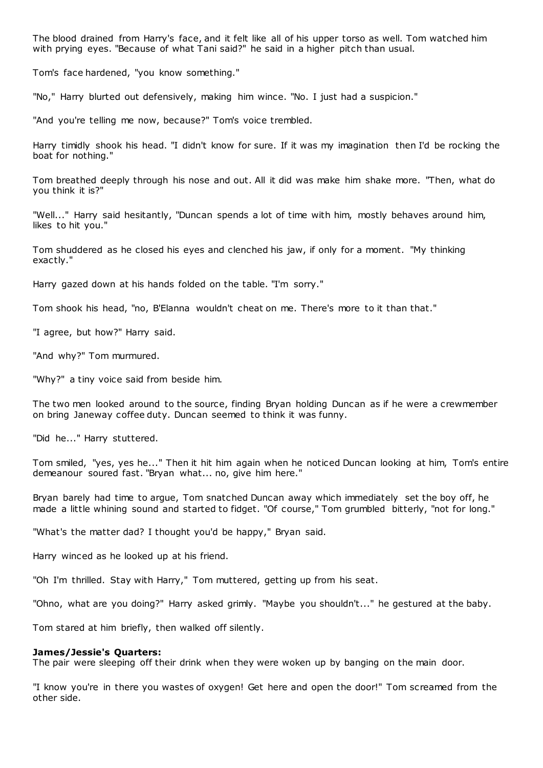The blood drained from Harry's face, and it felt like all of his upper torso as well. Tom watched him with prying eyes. "Because of what Tani said?" he said in a higher pitch than usual.

Tom's face hardened, "you know something."

"No," Harry blurted out defensively, making him wince. "No. I just had a suspicion."

"And you're telling me now, because?" Tom's voice trembled.

Harry timidly shook his head. "I didn't know for sure. If it was my imagination then I'd be rocking the boat for nothing."

Tom breathed deeply through his nose and out. All it did was make him shake more. "Then, what do you think it is?"

"Well..." Harry said hesitantly, "Duncan spends a lot of time with him, mostly behaves around him, likes to hit you."

Tom shuddered as he closed his eyes and clenched his jaw, if only for a moment. "My thinking exactly."

Harry gazed down at his hands folded on the table. "I'm sorry."

Tom shook his head, "no, B'Elanna wouldn't cheat on me. There's more to it than that."

"I agree, but how?" Harry said.

"And why?" Tom murmured.

"Why?" a tiny voice said from beside him.

The two men looked around to the source, finding Bryan holding Duncan as if he were a crewmember on bring Janeway coffee duty. Duncan seemed to think it was funny.

"Did he..." Harry stuttered.

Tom smiled, "yes, yes he..." Then it hit him again when he noticed Duncan looking at him, Tom's entire demeanour soured fast. "Bryan what... no, give him here."

Bryan barely had time to argue, Tom snatched Duncan away which immediately set the boy off, he made a little whining sound and started to fidget. "Of course," Tom grumbled bitterly, "not for long."

"What's the matter dad? I thought you'd be happy," Bryan said.

Harry winced as he looked up at his friend.

"Oh I'm thrilled. Stay with Harry," Tom muttered, getting up from his seat.

"Ohno, what are you doing?" Harry asked grimly. "Maybe you shouldn't..." he gestured at the baby.

Tom stared at him briefly, then walked off silently.

## **James/Jessie's Quarters:**

The pair were sleeping off their drink when they were woken up by banging on the main door.

"I know you're in there you wastes of oxygen! Get here and open the door!" Tom screamed from the other side.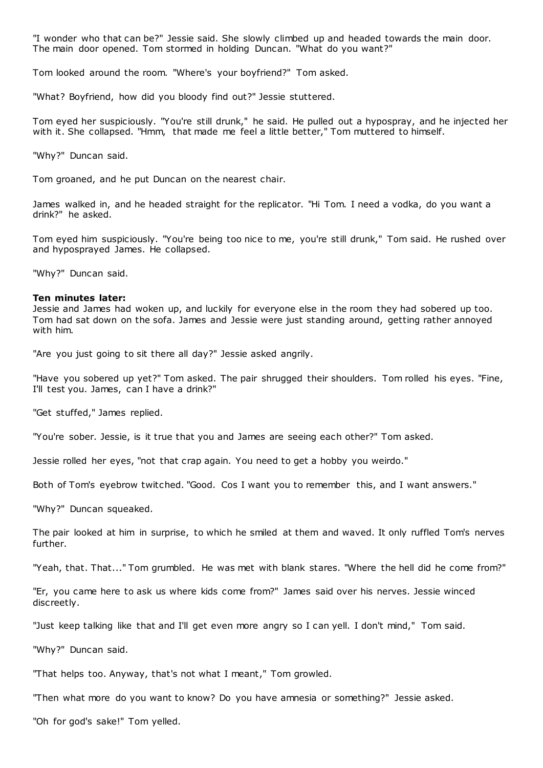"I wonder who that can be?" Jessie said. She slowly climbed up and headed towards the main door. The main door opened. Tom stormed in holding Duncan. "What do you want?"

Tom looked around the room. "Where's your boyfriend?" Tom asked.

"What? Boyfriend, how did you bloody find out?" Jessie stuttered.

Tom eyed her suspiciously. "You're still drunk," he said. He pulled out a hypospray, and he injected her with it. She collapsed. "Hmm, that made me feel a little better," Tom muttered to himself.

"Why?" Duncan said.

Tom groaned, and he put Duncan on the nearest chair.

James walked in, and he headed straight for the replicator. "Hi Tom. I need a vodka, do you want a drink?" he asked.

Tom eyed him suspiciously. "You're being too nice to me, you're still drunk," Tom said. He rushed over and hyposprayed James. He collapsed.

"Why?" Duncan said.

#### **Ten minutes later:**

Jessie and James had woken up, and luckily for everyone else in the room they had sobered up too. Tom had sat down on the sofa. James and Jessie were just standing around, getting rather annoyed with him.

"Are you just going to sit there all day?" Jessie asked angrily.

"Have you sobered up yet?" Tom asked. The pair shrugged their shoulders. Tom rolled his eyes. "Fine, I'll test you. James, can I have a drink?"

"Get stuffed," James replied.

"You're sober. Jessie, is it true that you and James are seeing each other?" Tom asked.

Jessie rolled her eyes, "not that crap again. You need to get a hobby you weirdo."

Both of Tom's eyebrow twitched. "Good. Cos I want you to remember this, and I want answers."

"Why?" Duncan squeaked.

The pair looked at him in surprise, to which he smiled at them and waved. It only ruffled Tom's nerves further.

"Yeah, that. That..." Tom grumbled. He was met with blank stares. "Where the hell did he come from?"

"Er, you came here to ask us where kids come from?" James said over his nerves. Jessie winced discreetly.

"Just keep talking like that and I'll get even more angry so I can yell. I don't mind," Tom said.

"Why?" Duncan said.

"That helps too. Anyway, that's not what I meant," Tom growled.

"Then what more do you want to know? Do you have amnesia or something?" Jessie asked.

"Oh for god's sake!" Tom yelled.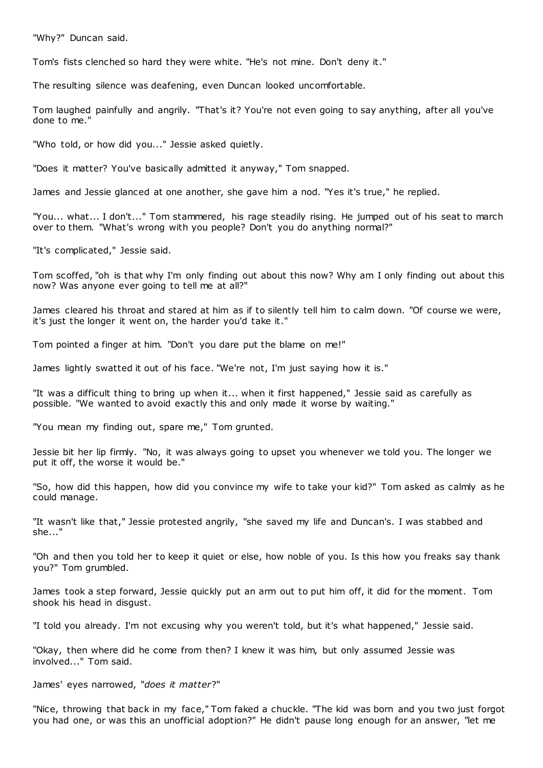"Why?" Duncan said.

Tom's fists clenched so hard they were white. "He's not mine. Don't deny it."

The resulting silence was deafening, even Duncan looked uncomfortable.

Tom laughed painfully and angrily. "That's it? You're not even going to say anything, after all you've done to me."

"Who told, or how did you..." Jessie asked quietly.

"Does it matter? You've basically admitted it anyway," Tom snapped.

James and Jessie glanced at one another, she gave him a nod. "Yes it's true," he replied.

"You... what... I don't..." Tom stammered, his rage steadily rising. He jumped out of his seat to march over to them. "What's wrong with you people? Don't you do anything normal?"

"It's complicated," Jessie said.

Tom scoffed, "oh is that why I'm only finding out about this now? Why am I only finding out about this now? Was anyone ever going to tell me at all?"

James cleared his throat and stared at him as if to silently tell him to calm down. "Of course we were, it's just the longer it went on, the harder you'd take it."

Tom pointed a finger at him. "Don't you dare put the blame on me!"

James lightly swatted it out of his face. "We're not, I'm just saying how it is."

"It was a difficult thing to bring up when it... when it first happened," Jessie said as carefully as possible. "We wanted to avoid exactly this and only made it worse by waiting."

"You mean my finding out, spare me," Tom grunted.

Jessie bit her lip firmly. "No, it was always going to upset you whenever we told you. The longer we put it off, the worse it would be."

"So, how did this happen, how did you convince my wife to take your kid?" Tom asked as calmly as he could manage.

"It wasn't like that," Jessie protested angrily, "she saved my life and Duncan's. I was stabbed and she..."

"Oh and then you told her to keep it quiet or else, how noble of you. Is this how you freaks say thank you?" Tom grumbled.

James took a step forward, Jessie quickly put an arm out to put him off, it did for the moment. Tom shook his head in disgust.

"I told you already. I'm not excusing why you weren't told, but it's what happened," Jessie said.

"Okay, then where did he come from then? I knew it was him, but only assumed Jessie was involved..." Tom said.

James' eyes narrowed, "*does it matter*?"

"Nice, throwing that back in my face," Tom faked a chuckle. "The kid was born and you two just forgot you had one, or was this an unofficial adoption?" He didn't pause long enough for an answer, "let me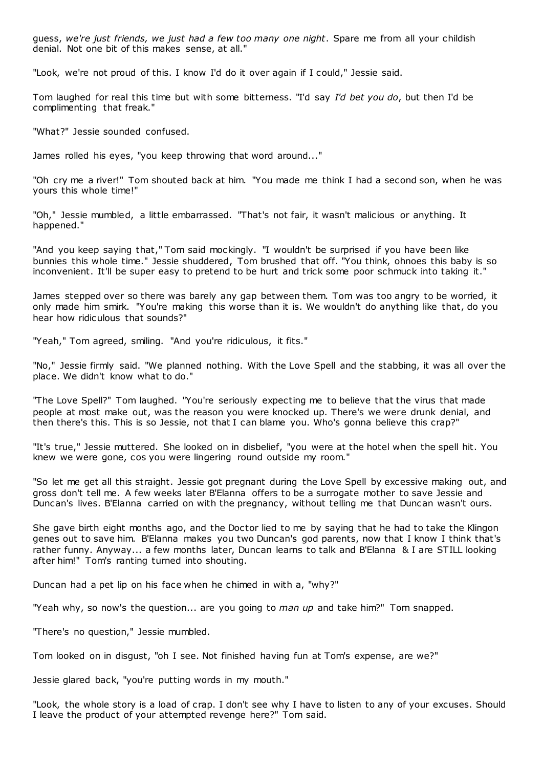guess, *we're just friends, we just had a few too many one night*. Spare me from all your childish denial. Not one bit of this makes sense, at all."

"Look, we're not proud of this. I know I'd do it over again if I could," Jessie said.

Tom laughed for real this time but with some bitterness. "I'd say *I'd bet you do*, but then I'd be complimenting that freak."

"What?" Jessie sounded confused.

James rolled his eyes, "you keep throwing that word around..."

"Oh cry me a river!" Tom shouted back at him. "You made me think I had a second son, when he was yours this whole time!"

"Oh," Jessie mumbled, a little embarrassed. "That's not fair, it wasn't malicious or anything. It happened."

"And you keep saying that," Tom said mockingly. "I wouldn't be surprised if you have been like bunnies this whole time." Jessie shuddered, Tom brushed that off. "You think, ohnoes this baby is so inconvenient. It'll be super easy to pretend to be hurt and trick some poor schmuck into taking it."

James stepped over so there was barely any gap between them. Tom was too angry to be worried, it only made him smirk. "You're making this worse than it is. We wouldn't do anything like that, do you hear how ridiculous that sounds?"

"Yeah," Tom agreed, smiling. "And you're ridiculous, it fits."

"No," Jessie firmly said. "We planned nothing. With the Love Spell and the stabbing, it was all over the place. We didn't know what to do."

"The Love Spell?" Tom laughed. "You're seriously expecting me to believe that the virus that made people at most make out, was the reason you were knocked up. There's we were drunk denial, and then there's this. This is so Jessie, not that I can blame you. Who's gonna believe this crap?"

"It's true," Jessie muttered. She looked on in disbelief, "you were at the hotel when the spell hit. You knew we were gone, cos you were lingering round outside my room."

"So let me get all this straight. Jessie got pregnant during the Love Spell by excessive making out, and gross don't tell me. A few weeks later B'Elanna offers to be a surrogate mother to save Jessie and Duncan's lives. B'Elanna carried on with the pregnancy, without telling me that Duncan wasn't ours.

She gave birth eight months ago, and the Doctor lied to me by saying that he had to take the Klingon genes out to save him. B'Elanna makes you two Duncan's god parents, now that I know I think that's rather funny. Anyway... a few months later, Duncan learns to talk and B'Elanna & I are STILL looking after him!" Tom's ranting turned into shouting.

Duncan had a pet lip on his face when he chimed in with a, "why?"

"Yeah why, so now's the question... are you going to *man up* and take him?" Tom snapped.

"There's no question," Jessie mumbled.

Tom looked on in disgust, "oh I see. Not finished having fun at Tom's expense, are we?"

Jessie glared back, "you're putting words in my mouth."

"Look, the whole story is a load of crap. I don't see why I have to listen to any of your excuses. Should I leave the product of your attempted revenge here?" Tom said.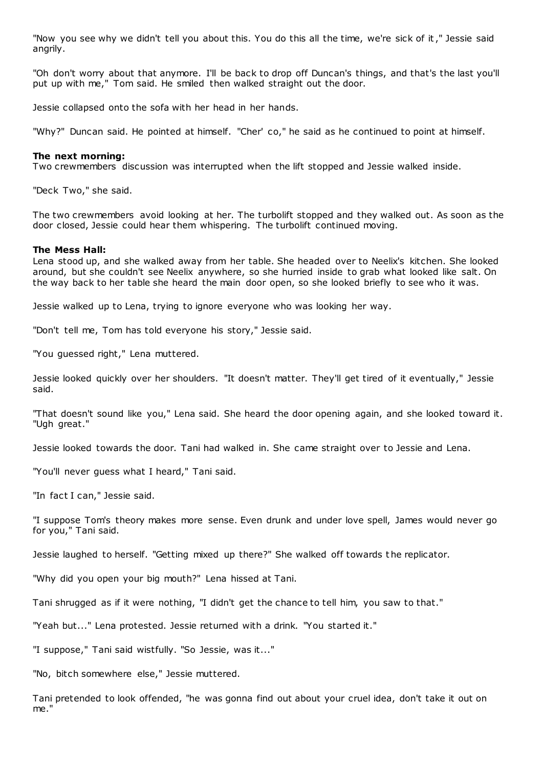"Now you see why we didn't tell you about this. You do this all the time, we're sick of it," Jessie said angrily.

"Oh don't worry about that anymore. I'll be back to drop off Duncan's things, and that's the last you'll put up with me," Tom said. He smiled then walked straight out the door.

Jessie collapsed onto the sofa with her head in her hands.

"Why?" Duncan said. He pointed at himself. "Cher' co," he said as he continued to point at himself.

## **The next morning:**

Two crewmembers discussion was interrupted when the lift stopped and Jessie walked inside.

"Deck Two," she said.

The two crewmembers avoid looking at her. The turbolift stopped and they walked out. As soon as the door closed, Jessie could hear them whispering. The turbolift continued moving.

## **The Mess Hall:**

Lena stood up, and she walked away from her table. She headed over to Neelix's kitchen. She looked around, but she couldn't see Neelix anywhere, so she hurried inside to grab what looked like salt. On the way back to her table she heard the main door open, so she looked briefly to see who it was.

Jessie walked up to Lena, trying to ignore everyone who was looking her way.

"Don't tell me, Tom has told everyone his story," Jessie said.

"You guessed right," Lena muttered.

Jessie looked quickly over her shoulders. "It doesn't matter. They'll get tired of it eventually," Jessie said.

"That doesn't sound like you," Lena said. She heard the door opening again, and she looked toward it. "Ugh great."

Jessie looked towards the door. Tani had walked in. She came straight over to Jessie and Lena.

"You'll never guess what I heard," Tani said.

"In fact I can," Jessie said.

"I suppose Tom's theory makes more sense. Even drunk and under love spell, James would never go for you," Tani said.

Jessie laughed to herself. "Getting mixed up there?" She walked off towards t he replicator.

"Why did you open your big mouth?" Lena hissed at Tani.

Tani shrugged as if it were nothing, "I didn't get the chance to tell him, you saw to that."

"Yeah but..." Lena protested. Jessie returned with a drink. "You started it."

"I suppose," Tani said wistfully. "So Jessie, was it..."

"No, bitch somewhere else," Jessie muttered.

Tani pretended to look offended, "he was gonna find out about your cruel idea, don't take it out on me."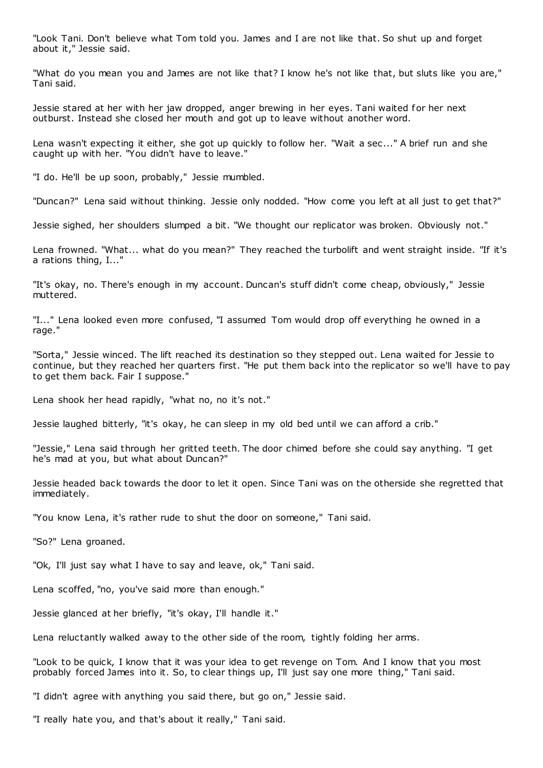"Look Tani. Don't believe what Tom told you. James and I are not like that. So shut up and forget about it," Jessie said.

"What do you mean you and James are not like that? I know he's not like that, but sluts like you are," Tani said.

Jessie stared at her with her jaw dropped, anger brewing in her eyes. Tani waited for her next outburst. Instead she closed her mouth and got up to leave without another word.

Lena wasn't expecting it either, she got up quickly to follow her. "Wait a sec..." A brief run and she caught up with her. "You didn't have to leave."

"I do. He'll be up soon, probably," Jessie mumbled.

"Duncan?" Lena said without thinking. Jessie only nodded. "How come you left at all just to get that?"

Jessie sighed, her shoulders slumped a bit. "We thought our replicator was broken. Obviously not."

Lena frowned. "What... what do you mean?" They reached the turbolift and went straight inside. "If it's a rations thing, I..."

"It's okay, no. There's enough in my account. Duncan's stuff didn't come cheap, obviously," Jessie muttered.

"I..." Lena looked even more confused, "I assumed Tom would drop off everything he owned in a rage."

"Sorta," Jessie winced. The lift reached its destination so they stepped out. Lena waited for Jessie to continue, but they reached her quarters first. "He put them back into the replicator so we'll have to pay to get them back. Fair I suppose."

Lena shook her head rapidly, "what no, no it's not."

Jessie laughed bitterly, "it's okay, he can sleep in my old bed until we can afford a crib."

"Jessie," Lena said through her gritted teeth. The door chimed before she could say anything. "I get he's mad at you, but what about Duncan?"

Jessie headed back towards the door to let it open. Since Tani was on the otherside she regretted that immediately.

"You know Lena, it's rather rude to shut the door on someone," Tani said.

"So?" Lena groaned.

"Ok, I'll just say what I have to say and leave, ok," Tani said.

Lena scoffed, "no, you've said more than enough."

Jessie glanced at her briefly, "it's okay, I'll handle it."

Lena reluctantly walked away to the other side of the room, tightly folding her arms.

"Look to be quick, I know that it was your idea to get revenge on Tom. And I know that you most probably forced James into it. So, to clear things up, I'll just say one more thing," Tani said.

"I didn't agree with anything you said there, but go on," Jessie said.

"I really hate you, and that's about it really," Tani said.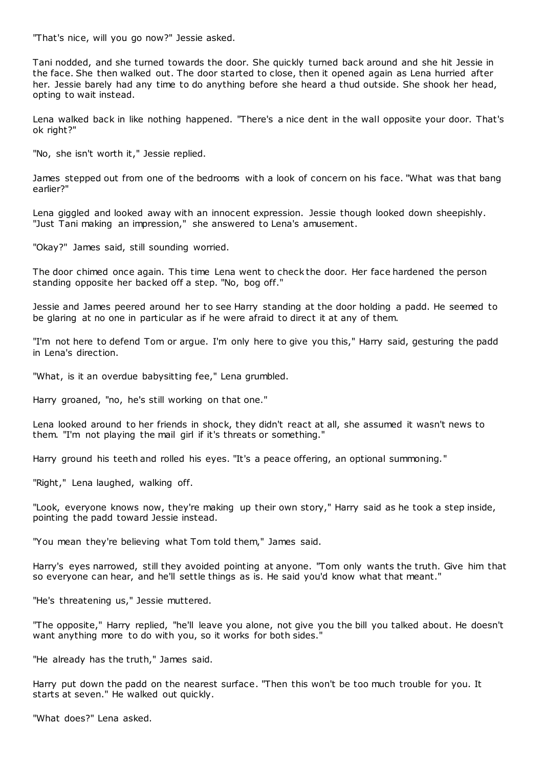"That's nice, will you go now?" Jessie asked.

Tani nodded, and she turned towards the door. She quickly turned back around and she hit Jessie in the face. She then walked out. The door started to close, then it opened again as Lena hurried after her. Jessie barely had any time to do anything before she heard a thud outside. She shook her head, opting to wait instead.

Lena walked back in like nothing happened. "There's a nice dent in the wall opposite your door. That's ok right?"

"No, she isn't worth it," Jessie replied.

James stepped out from one of the bedrooms with a look of concern on his face. "What was that bang earlier?"

Lena giggled and looked away with an innocent expression. Jessie though looked down sheepishly. "Just Tani making an impression," she answered to Lena's amusement.

"Okay?" James said, still sounding worried.

The door chimed once again. This time Lena went to check the door. Her face hardened the person standing opposite her backed off a step. "No, bog off."

Jessie and James peered around her to see Harry standing at the door holding a padd. He seemed to be glaring at no one in particular as if he were afraid to direct it at any of them.

"I'm not here to defend Tom or argue. I'm only here to give you this," Harry said, gesturing the padd in Lena's direction.

"What, is it an overdue babysitting fee," Lena grumbled.

Harry groaned, "no, he's still working on that one."

Lena looked around to her friends in shock, they didn't react at all, she assumed it wasn't news to them. "I'm not playing the mail girl if it's threats or something."

Harry ground his teeth and rolled his eyes. "It's a peace offering, an optional summoning."

"Right," Lena laughed, walking off.

"Look, everyone knows now, they're making up their own story," Harry said as he took a step inside, pointing the padd toward Jessie instead.

"You mean they're believing what Tom told them," James said.

Harry's eyes narrowed, still they avoided pointing at anyone. "Tom only wants the truth. Give him that so everyone can hear, and he'll settle things as is. He said you'd know what that meant."

"He's threatening us," Jessie muttered.

"The opposite," Harry replied, "he'll leave you alone, not give you the bill you talked about. He doesn't want anything more to do with you, so it works for both sides."

"He already has the truth," James said.

Harry put down the padd on the nearest surface. "Then this won't be too much trouble for you. It starts at seven." He walked out quickly.

"What does?" Lena asked.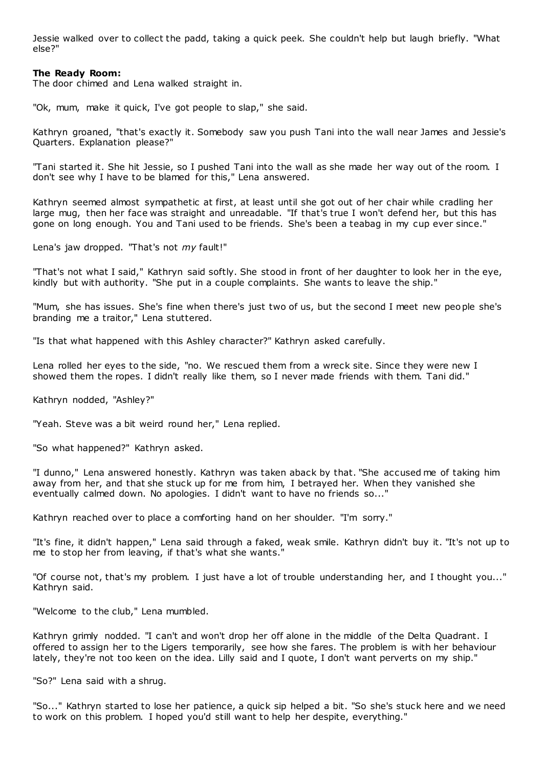Jessie walked over to collect the padd, taking a quick peek. She couldn't help but laugh briefly. "What else?"

## **The Ready Room:**

The door chimed and Lena walked straight in.

"Ok, mum, make it quick, I've got people to slap," she said.

Kathryn groaned, "that's exactly it. Somebody saw you push Tani into the wall near James and Jessie's Quarters. Explanation please?"

"Tani started it. She hit Jessie, so I pushed Tani into the wall as she made her way out of the room. I don't see why I have to be blamed for this," Lena answered.

Kathryn seemed almost sympathetic at first, at least until she got out of her chair while cradling her large mug, then her face was straight and unreadable. "If that's true I won't defend her, but this has gone on long enough. You and Tani used to be friends. She's been a teabag in my cup ever since."

Lena's jaw dropped. "That's not *my* fault!"

"That's not what I said," Kathryn said softly. She stood in front of her daughter to look her in the eye, kindly but with authority. "She put in a couple complaints. She wants to leave the ship."

"Mum, she has issues. She's fine when there's just two of us, but the second I meet new people she's branding me a traitor," Lena stuttered.

"Is that what happened with this Ashley character?" Kathryn asked carefully.

Lena rolled her eyes to the side, "no. We rescued them from a wreck site. Since they were new I showed them the ropes. I didn't really like them, so I never made friends with them. Tani did."

Kathryn nodded, "Ashley?"

"Yeah. Steve was a bit weird round her," Lena replied.

"So what happened?" Kathryn asked.

"I dunno," Lena answered honestly. Kathryn was taken aback by that. "She accused me of taking him away from her, and that she stuck up for me from him, I betrayed her. When they vanished she eventually calmed down. No apologies. I didn't want to have no friends so..."

Kathryn reached over to place a comforting hand on her shoulder. "I'm sorry."

"It's fine, it didn't happen," Lena said through a faked, weak smile. Kathryn didn't buy it. "It's not up to me to stop her from leaving, if that's what she wants."

"Of course not, that's my problem. I just have a lot of trouble understanding her, and I thought you..." Kathryn said.

"Welcome to the club," Lena mumbled.

Kathryn grimly nodded. "I can't and won't drop her off alone in the middle of the Delta Quadrant. I offered to assign her to the Ligers temporarily, see how she fares. The problem is with her behaviour lately, they're not too keen on the idea. Lilly said and I quote, I don't want perverts on my ship."

"So?" Lena said with a shrug.

"So..." Kathryn started to lose her patience, a quick sip helped a bit. "So she's stuck here and we need to work on this problem. I hoped you'd still want to help her despite, everything."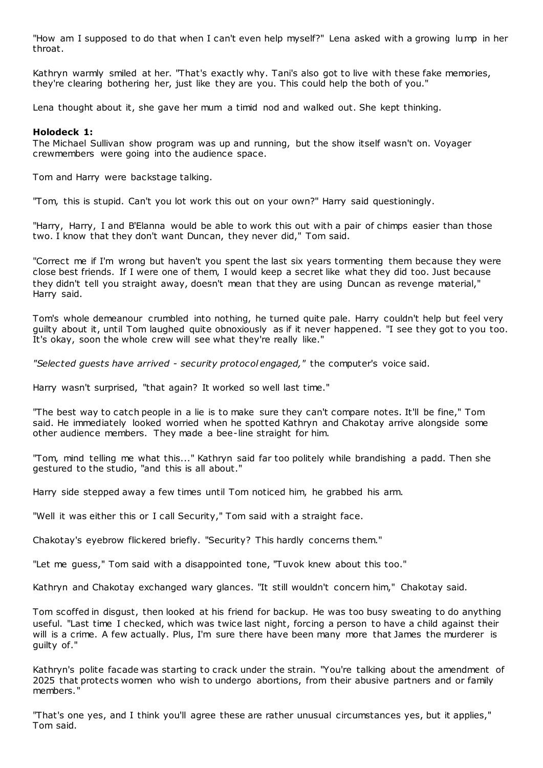"How am I supposed to do that when I can't even help myself?" Lena asked with a growing lump in her throat.

Kathryn warmly smiled at her. "That's exactly why. Tani's also got to live with these fake memories, they're clearing bothering her, just like they are you. This could help the both of you."

Lena thought about it, she gave her mum a timid nod and walked out. She kept thinking.

## **Holodeck 1:**

The Michael Sullivan show program was up and running, but the show itself wasn't on. Voyager crewmembers were going into the audience space.

Tom and Harry were backstage talking.

"Tom, this is stupid. Can't you lot work this out on your own?" Harry said questioningly.

"Harry, Harry, I and B'Elanna would be able to work this out with a pair of chimps easier than those two. I know that they don't want Duncan, they never did," Tom said.

"Correct me if I'm wrong but haven't you spent the last six years tormenting them because they were close best friends. If I were one of them, I would keep a secret like what they did too. Just because they didn't tell you straight away, doesn't mean that they are using Duncan as revenge material," Harry said.

Tom's whole demeanour crumbled into nothing, he turned quite pale. Harry couldn't help but feel very guilty about it, until Tom laughed quite obnoxiously as if it never happened. "I see they got to you too. It's okay, soon the whole crew will see what they're really like."

*"Selected guests have arrived - security protocol engaged,"* the computer's voice said.

Harry wasn't surprised, "that again? It worked so well last time."

"The best way to catch people in a lie is to make sure they can't compare notes. It'll be fine," Tom said. He immediately looked worried when he spotted Kathryn and Chakotay arrive alongside some other audience members. They made a bee-line straight for him.

"Tom, mind telling me what this..." Kathryn said far too politely while brandishing a padd. Then she gestured to the studio, "and this is all about."

Harry side stepped away a few times until Tom noticed him, he grabbed his arm.

"Well it was either this or I call Security," Tom said with a straight face.

Chakotay's eyebrow flickered briefly. "Security? This hardly concerns them."

"Let me guess," Tom said with a disappointed tone, "Tuvok knew about this too."

Kathryn and Chakotay exchanged wary glances. "It still wouldn't concern him," Chakotay said.

Tom scoffed in disgust, then looked at his friend for backup. He was too busy sweating to do anything useful. "Last time I checked, which was twice last night, forcing a person to have a child against their will is a crime. A few actually. Plus, I'm sure there have been many more that James the murderer is guilty of."

Kathryn's polite facade was starting to crack under the strain. "You're talking about the amendment of 2025 that protects women who wish to undergo abortions, from their abusive partners and or family members."

"That's one yes, and I think you'll agree these are rather unusual circumstances yes, but it applies," Tom said.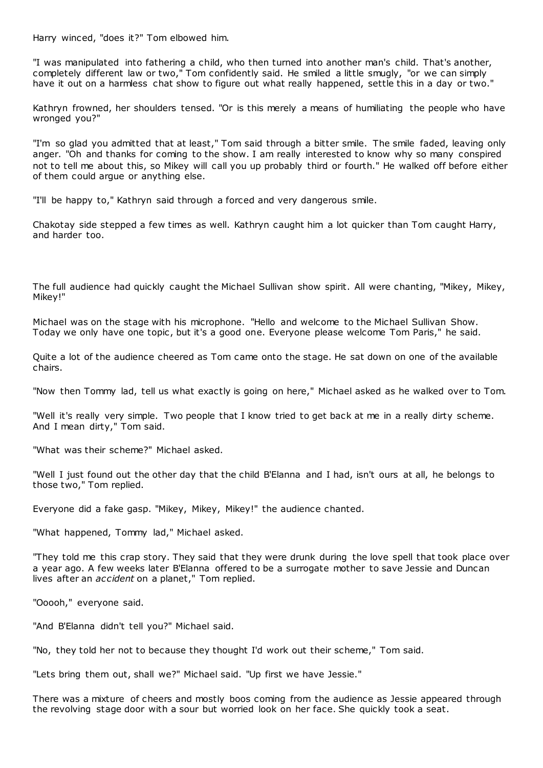Harry winced, "does it?" Tom elbowed him.

"I was manipulated into fathering a child, who then turned into another man's child. That's another, completely different law or two," Tom confidently said. He smiled a little smugly, "or we can simply have it out on a harmless chat show to figure out what really happened, settle this in a day or two."

Kathryn frowned, her shoulders tensed. "Or is this merely a means of humiliating the people who have wronged you?"

"I'm so glad you admitted that at least," Tom said through a bitter smile. The smile faded, leaving only anger. "Oh and thanks for coming to the show. I am really interested to know why so many conspired not to tell me about this, so Mikey will call you up probably third or fourth." He walked off before either of them could argue or anything else.

"I'll be happy to," Kathryn said through a forced and very dangerous smile.

Chakotay side stepped a few times as well. Kathryn caught him a lot quicker than Tom caught Harry, and harder too.

The full audience had quickly caught the Michael Sullivan show spirit. All were chanting, "Mikey, Mikey, Mikey!"

Michael was on the stage with his microphone. "Hello and welcome to the Michael Sullivan Show. Today we only have one topic, but it's a good one. Everyone please welcome Tom Paris," he said.

Quite a lot of the audience cheered as Tom came onto the stage. He sat down on one of the available chairs.

"Now then Tommy lad, tell us what exactly is going on here," Michael asked as he walked over to Tom.

"Well it's really very simple. Two people that I know tried to get back at me in a really dirty scheme. And I mean dirty," Tom said.

"What was their scheme?" Michael asked.

"Well I just found out the other day that the child B'Elanna and I had, isn't ours at all, he belongs to those two," Tom replied.

Everyone did a fake gasp. "Mikey, Mikey, Mikey!" the audience chanted.

"What happened, Tommy lad," Michael asked.

"They told me this crap story. They said that they were drunk during the love spell that took place over a year ago. A few weeks later B'Elanna offered to be a surrogate mother to save Jessie and Duncan lives after an *accident* on a planet," Tom replied.

"Ooooh," everyone said.

"And B'Elanna didn't tell you?" Michael said.

"No, they told her not to because they thought I'd work out their scheme," Tom said.

"Lets bring them out, shall we?" Michael said. "Up first we have Jessie."

There was a mixture of cheers and mostly boos coming from the audience as Jessie appeared through the revolving stage door with a sour but worried look on her face. She quickly took a seat.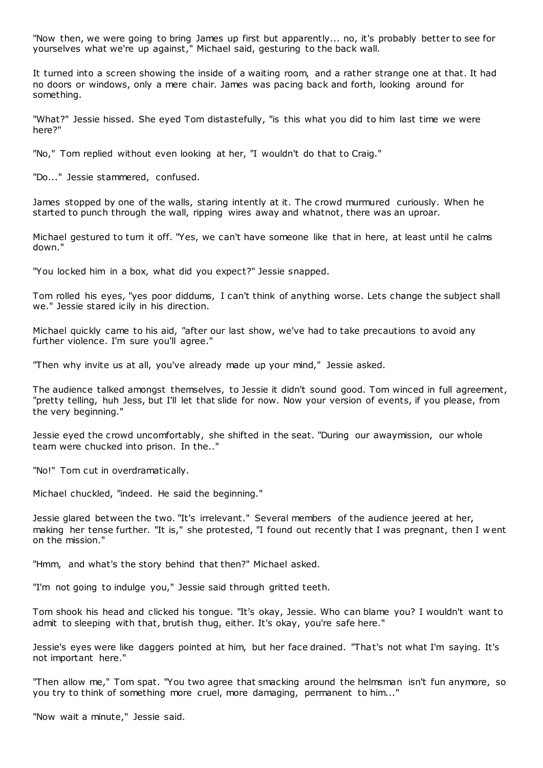"Now then, we were going to bring James up first but apparently... no, it's probably better to see for yourselves what we're up against," Michael said, gesturing to the back wall.

It turned into a screen showing the inside of a waiting room, and a rather strange one at that. It had no doors or windows, only a mere chair. James was pacing back and forth, looking around for something.

"What?" Jessie hissed. She eyed Tom distastefully, "is this what you did to him last time we were here?"

"No," Tom replied without even looking at her, "I wouldn't do that to Craig."

"Do..." Jessie stammered, confused.

James stopped by one of the walls, staring intently at it. The crowd murmured curiously. When he started to punch through the wall, ripping wires away and whatnot, there was an uproar.

Michael gestured to turn it off. "Yes, we can't have someone like that in here, at least until he calms down."

"You locked him in a box, what did you expect?" Jessie snapped.

Tom rolled his eyes, "yes poor diddums, I can't think of anything worse. Lets change the subject shall we." Jessie stared icily in his direction.

Michael quickly came to his aid, "after our last show, we've had to take precautions to avoid any further violence. I'm sure you'll agree."

"Then why invite us at all, you've already made up your mind," Jessie asked.

The audience talked amongst themselves, to Jessie it didn't sound good. Tom winced in full agreement, "pretty telling, huh Jess, but I'll let that slide for now. Now your version of events, if you please, from the very beginning."

Jessie eyed the crowd uncomfortably, she shifted in the seat. "During our awaymission, our whole team were chucked into prison. In the.."

"No!" Tom cut in overdramatically.

Michael chuckled, "indeed. He said the beginning."

Jessie glared between the two. "It's irrelevant." Several members of the audience jeered at her, making her tense further. "It is," she protested, "I found out recently that I was pregnant, then I w ent on the mission."

"Hmm, and what's the story behind that then?" Michael asked.

"I'm not going to indulge you," Jessie said through gritted teeth.

Tom shook his head and clicked his tongue. "It's okay, Jessie. Who can blame you? I wouldn't want to admit to sleeping with that, brutish thug, either. It's okay, you're safe here."

Jessie's eyes were like daggers pointed at him, but her face drained. "That's not what I'm saying. It's not important here."

"Then allow me," Tom spat. "You two agree that smacking around the helmsman isn't fun anymore, so you try to think of something more cruel, more damaging, permanent to him..."

"Now wait a minute," Jessie said.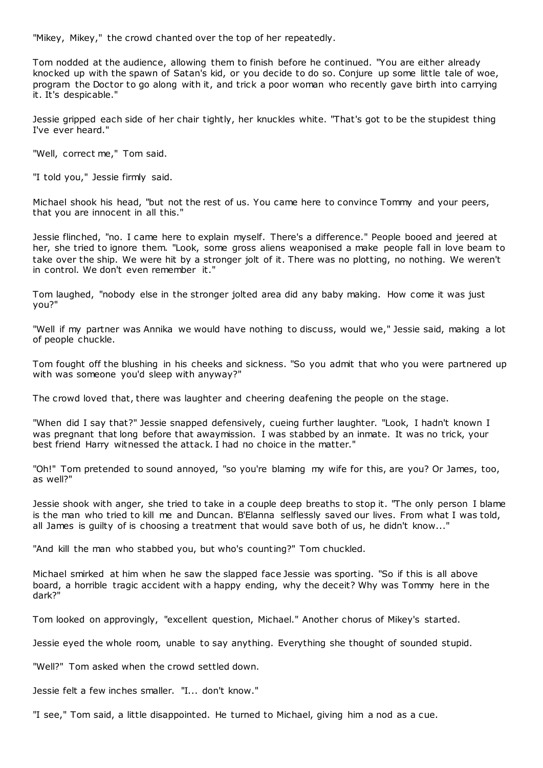"Mikey, Mikey," the crowd chanted over the top of her repeatedly.

Tom nodded at the audience, allowing them to finish before he continued. "You are either already knocked up with the spawn of Satan's kid, or you decide to do so. Conjure up some little tale of woe, program the Doctor to go along with it, and trick a poor woman who recently gave birth into carrying it. It's despicable."

Jessie gripped each side of her chair tightly, her knuckles white. "That's got to be the stupidest thing I've ever heard."

"Well, correct me," Tom said.

"I told you," Jessie firmly said.

Michael shook his head, "but not the rest of us. You came here to convince Tommy and your peers, that you are innocent in all this."

Jessie flinched, "no. I came here to explain myself. There's a difference." People booed and jeered at her, she tried to ignore them. "Look, some gross aliens weaponised a make people fall in love beam to take over the ship. We were hit by a stronger jolt of it. There was no plotting, no nothing. We weren't in control. We don't even remember it."

Tom laughed, "nobody else in the stronger jolted area did any baby making. How come it was just you?"

"Well if my partner was Annika we would have nothing to discuss, would we," Jessie said, making a lot of people chuckle.

Tom fought off the blushing in his cheeks and sickness. "So you admit that who you were partnered up with was someone you'd sleep with anyway?"

The crowd loved that, there was laughter and cheering deafening the people on the stage.

"When did I say that?" Jessie snapped defensively, cueing further laughter. "Look, I hadn't known I was pregnant that long before that awaymission. I was stabbed by an inmate. It was no trick, your best friend Harry witnessed the attack. I had no choice in the matter."

"Oh!" Tom pretended to sound annoyed, "so you're blaming my wife for this, are you? Or James, too, as well?"

Jessie shook with anger, she tried to take in a couple deep breaths to stop it. "The only person I blame is the man who tried to kill me and Duncan. B'Elanna selflessly saved our lives. From what I was told, all James is guilty of is choosing a treatment that would save both of us, he didn't know..."

"And kill the man who stabbed you, but who's counting?" Tom chuckled.

Michael smirked at him when he saw the slapped face Jessie was sporting. "So if this is all above board, a horrible tragic accident with a happy ending, why the deceit? Why was Tommy here in the dark?"

Tom looked on approvingly, "excellent question, Michael." Another chorus of Mikey's started.

Jessie eyed the whole room, unable to say anything. Everything she thought of sounded stupid.

"Well?" Tom asked when the crowd settled down.

Jessie felt a few inches smaller. "I... don't know."

"I see," Tom said, a little disappointed. He turned to Michael, giving him a nod as a cue.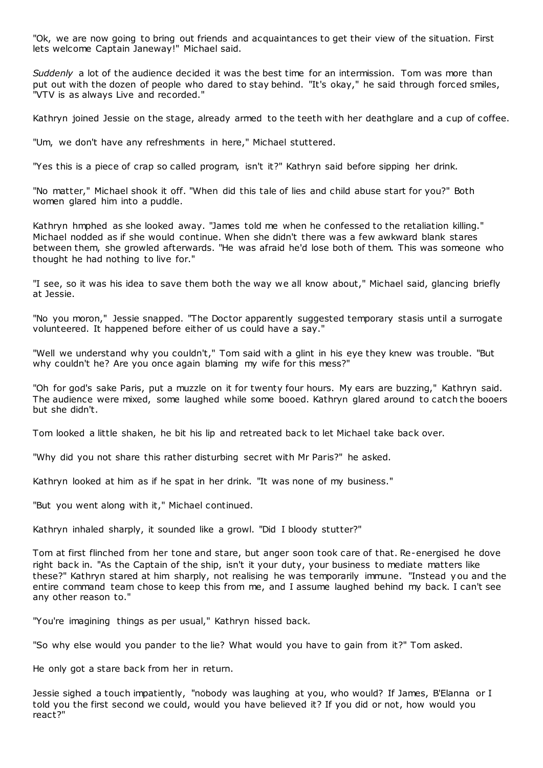"Ok, we are now going to bring out friends and acquaintances to get their view of the situation. First lets welcome Captain Janeway!" Michael said.

*Suddenly* a lot of the audience decided it was the best time for an intermission. Tom was more than put out with the dozen of people who dared to stay behind. "It's okay," he said through forced smiles, "VTV is as always Live and recorded."

Kathryn joined Jessie on the stage, already armed to the teeth with her deathglare and a cup of coffee.

"Um, we don't have any refreshments in here," Michael stuttered.

"Yes this is a piece of crap so called program, isn't it?" Kathryn said before sipping her drink.

"No matter," Michael shook it off. "When did this tale of lies and child abuse start for you?" Both women glared him into a puddle.

Kathryn hmphed as she looked away. "James told me when he confessed to the retaliation killing." Michael nodded as if she would continue. When she didn't there was a few awkward blank stares between them, she growled afterwards. "He was afraid he'd lose both of them. This was someone who thought he had nothing to live for."

"I see, so it was his idea to save them both the way we all know about," Michael said, glancing briefly at Jessie.

"No you moron," Jessie snapped. "The Doctor apparently suggested temporary stasis until a surrogate volunteered. It happened before either of us could have a say."

"Well we understand why you couldn't," Tom said with a glint in his eye they knew was trouble. "But why couldn't he? Are you once again blaming my wife for this mess?"

"Oh for god's sake Paris, put a muzzle on it for twenty four hours. My ears are buzzing," Kathryn said. The audience were mixed, some laughed while some booed. Kathryn glared around to catch the booers but she didn't.

Tom looked a little shaken, he bit his lip and retreated back to let Michael take back over.

"Why did you not share this rather disturbing secret with Mr Paris?" he asked.

Kathryn looked at him as if he spat in her drink. "It was none of my business."

"But you went along with it," Michael continued.

Kathryn inhaled sharply, it sounded like a growl. "Did I bloody stutter?"

Tom at first flinched from her tone and stare, but anger soon took care of that. Re-energised he dove right back in. "As the Captain of the ship, isn't it your duty, your business to mediate matters like these?" Kathryn stared at him sharply, not realising he was temporarily immune. "Instead you and the entire command team chose to keep this from me, and I assume laughed behind my back. I can't see any other reason to."

"You're imagining things as per usual," Kathryn hissed back.

"So why else would you pander to the lie? What would you have to gain from it?" Tom asked.

He only got a stare back from her in return.

Jessie sighed a touch impatiently, "nobody was laughing at you, who would? If James, B'Elanna or I told you the first second we could, would you have believed it? If you did or not, how would you react?"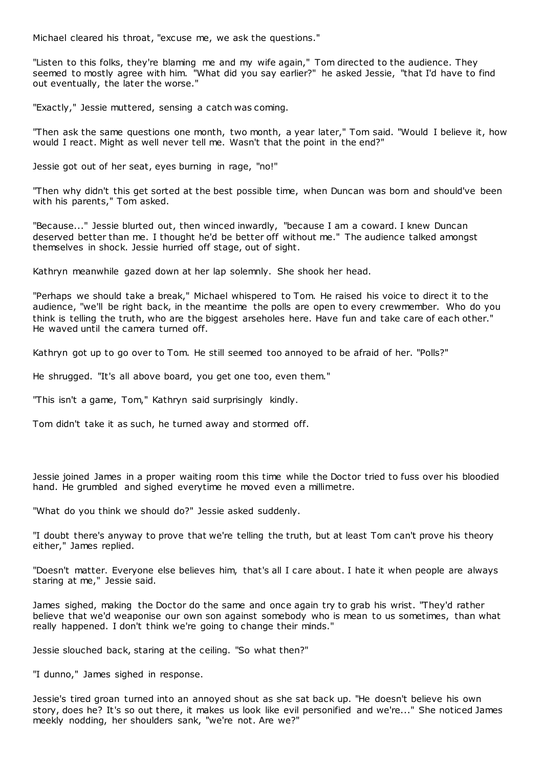Michael cleared his throat, "excuse me, we ask the questions."

"Listen to this folks, they're blaming me and my wife again," Tom directed to the audience. They seemed to mostly agree with him. "What did you say earlier?" he asked Jessie, "that I'd have to find out eventually, the later the worse."

"Exactly," Jessie muttered, sensing a catch was coming.

"Then ask the same questions one month, two month, a year later," Tom said. "Would I believe it, how would I react. Might as well never tell me. Wasn't that the point in the end?"

Jessie got out of her seat, eyes burning in rage, "no!"

"Then why didn't this get sorted at the best possible time, when Duncan was born and should've been with his parents," Tom asked.

"Because..." Jessie blurted out, then winced inwardly, "because I am a coward. I knew Duncan deserved better than me. I thought he'd be better off without me." The audience talked amongst themselves in shock. Jessie hurried off stage, out of sight.

Kathryn meanwhile gazed down at her lap solemnly. She shook her head.

"Perhaps we should take a break," Michael whispered to Tom. He raised his voice to direct it to the audience, "we'll be right back, in the meantime the polls are open to every crewmember. Who do you think is telling the truth, who are the biggest arseholes here. Have fun and take care of each other." He waved until the camera turned off.

Kathryn got up to go over to Tom. He still seemed too annoyed to be afraid of her. "Polls?"

He shrugged. "It's all above board, you get one too, even them."

"This isn't a game, Tom," Kathryn said surprisingly kindly.

Tom didn't take it as such, he turned away and stormed off.

Jessie joined James in a proper waiting room this time while the Doctor tried to fuss over his bloodied hand. He grumbled and sighed everytime he moved even a millimetre.

"What do you think we should do?" Jessie asked suddenly.

"I doubt there's anyway to prove that we're telling the truth, but at least Tom can't prove his theory either," James replied.

"Doesn't matter. Everyone else believes him, that's all I care about. I hate it when people are always staring at me," Jessie said.

James sighed, making the Doctor do the same and once again try to grab his wrist. "They'd rather believe that we'd weaponise our own son against somebody who is mean to us sometimes, than what really happened. I don't think we're going to change their minds."

Jessie slouched back, staring at the ceiling. "So what then?"

"I dunno," James sighed in response.

Jessie's tired groan turned into an annoyed shout as she sat back up. "He doesn't believe his own story, does he? It's so out there, it makes us look like evil personified and we're..." She noticed James meekly nodding, her shoulders sank, "we're not. Are we?"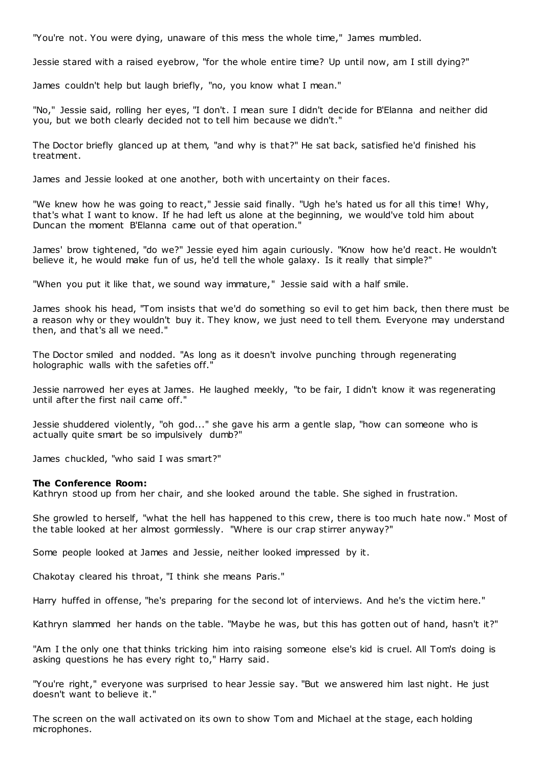"You're not. You were dying, unaware of this mess the whole time," James mumbled.

Jessie stared with a raised eyebrow, "for the whole entire time? Up until now, am I still dying?"

James couldn't help but laugh briefly, "no, you know what I mean."

"No," Jessie said, rolling her eyes, "I don't. I mean sure I didn't decide for B'Elanna and neither did you, but we both clearly decided not to tell him because we didn't."

The Doctor briefly glanced up at them, "and why is that?" He sat back, satisfied he'd finished his treatment.

James and Jessie looked at one another, both with uncertainty on their faces.

"We knew how he was going to react," Jessie said finally. "Ugh he's hated us for all this time! Why, that's what I want to know. If he had left us alone at the beginning, we would've told him about Duncan the moment B'Elanna came out of that operation."

James' brow tightened, "do we?" Jessie eyed him again curiously. "Know how he'd react. He wouldn't believe it, he would make fun of us, he'd tell the whole galaxy. Is it really that simple?"

"When you put it like that, we sound way immature," Jessie said with a half smile.

James shook his head, "Tom insists that we'd do something so evil to get him back, then there must be a reason why or they wouldn't buy it. They know, we just need to tell them. Everyone may understand then, and that's all we need."

The Doctor smiled and nodded. "As long as it doesn't involve punching through regenerating holographic walls with the safeties off."

Jessie narrowed her eyes at James. He laughed meekly, "to be fair, I didn't know it was regenerating until after the first nail came off."

Jessie shuddered violently, "oh god..." she gave his arm a gentle slap, "how can someone who is actually quite smart be so impulsively dumb?"

James chuckled, "who said I was smart?"

## **The Conference Room:**

Kathryn stood up from her chair, and she looked around the table. She sighed in frustration.

She growled to herself, "what the hell has happened to this crew, there is too much hate now." Most of the table looked at her almost gormlessly. "Where is our crap stirrer anyway?"

Some people looked at James and Jessie, neither looked impressed by it.

Chakotay cleared his throat, "I think she means Paris."

Harry huffed in offense, "he's preparing for the second lot of interviews. And he's the victim here."

Kathryn slammed her hands on the table. "Maybe he was, but this has gotten out of hand, hasn't it?"

"Am I the only one that thinks tricking him into raising someone else's kid is cruel. All Tom's doing is asking questions he has every right to," Harry said.

"You're right," everyone was surprised to hear Jessie say. "But we answered him last night. He just doesn't want to believe it."

The screen on the wall activated on its own to show Tom and Michael at the stage, each holding microphones.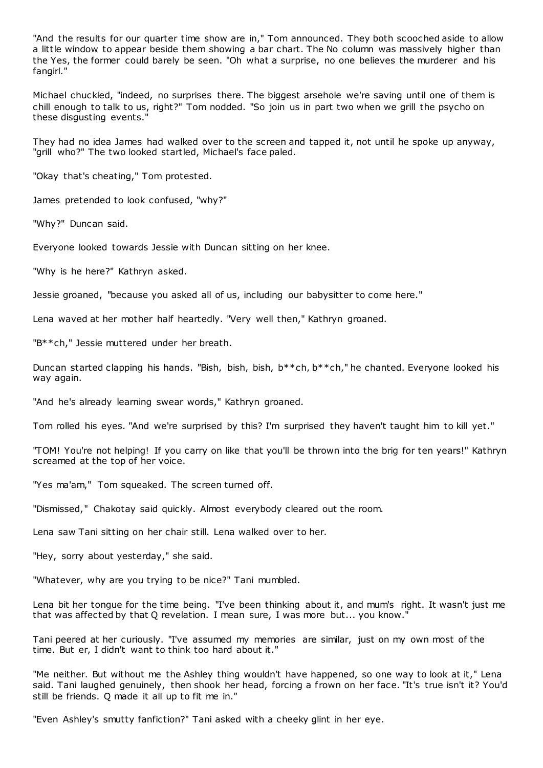"And the results for our quarter time show are in," Tom announced. They both scooched aside to allow a little window to appear beside them showing a bar chart. The No column was massively higher than the Yes, the former could barely be seen. "Oh what a surprise, no one believes the murderer and his fangirl."

Michael chuckled, "indeed, no surprises there. The biggest arsehole we're saving until one of them is chill enough to talk to us, right?" Tom nodded. "So join us in part two when we grill the psycho on these disgusting events."

They had no idea James had walked over to the screen and tapped it, not until he spoke up anyway, "grill who?" The two looked startled, Michael's face paled.

"Okay that's cheating," Tom protested.

James pretended to look confused, "why?"

"Why?" Duncan said.

Everyone looked towards Jessie with Duncan sitting on her knee.

"Why is he here?" Kathryn asked.

Jessie groaned, "because you asked all of us, including our babysitter to come here."

Lena waved at her mother half heartedly. "Very well then," Kathryn groaned.

"B\*\*ch," Jessie muttered under her breath.

Duncan started clapping his hands. "Bish, bish, bish, b\*\*ch, b\*\*ch," he chanted. Everyone looked his way again.

"And he's already learning swear words," Kathryn groaned.

Tom rolled his eyes. "And we're surprised by this? I'm surprised they haven't taught him to kill yet."

"TOM! You're not helping! If you carry on like that you'll be thrown into the brig for ten years!" Kathryn screamed at the top of her voice.

"Yes ma'am," Tom squeaked. The screen turned off.

"Dismissed," Chakotay said quickly. Almost everybody cleared out the room.

Lena saw Tani sitting on her chair still. Lena walked over to her.

"Hey, sorry about yesterday," she said.

"Whatever, why are you trying to be nice?" Tani mumbled.

Lena bit her tongue for the time being. "I've been thinking about it, and mum's right. It wasn't just me that was affected by that Q revelation. I mean sure, I was more but... you know."

Tani peered at her curiously. "I've assumed my memories are similar, just on my own most of the time. But er, I didn't want to think too hard about it."

"Me neither. But without me the Ashley thing wouldn't have happened, so one way to look at it," Lena said. Tani laughed genuinely, then shook her head, forcing a frown on her face. "It's true isn't it? You'd still be friends. Q made it all up to fit me in."

"Even Ashley's smutty fanfiction?" Tani asked with a cheeky glint in her eye.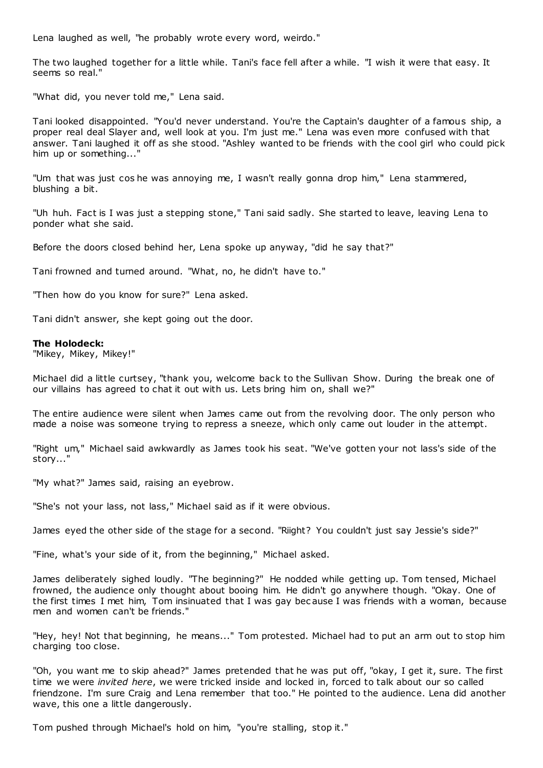Lena laughed as well, "he probably wrote every word, weirdo."

The two laughed together for a little while. Tani's face fell after a while. "I wish it were that easy. It seems so real."

"What did, you never told me," Lena said.

Tani looked disappointed. "You'd never understand. You're the Captain's daughter of a famous ship, a proper real deal Slayer and, well look at you. I'm just me." Lena was even more confused with that answer. Tani laughed it off as she stood. "Ashley wanted to be friends with the cool girl who could pick him up or something..."

"Um that was just cos he was annoying me, I wasn't really gonna drop him," Lena stammered, blushing a bit.

"Uh huh. Fact is I was just a stepping stone," Tani said sadly. She started to leave, leaving Lena to ponder what she said.

Before the doors closed behind her, Lena spoke up anyway, "did he say that?"

Tani frowned and turned around. "What, no, he didn't have to."

"Then how do you know for sure?" Lena asked.

Tani didn't answer, she kept going out the door.

## **The Holodeck:**

"Mikey, Mikey, Mikey!"

Michael did a little curtsey, "thank you, welcome back to the Sullivan Show. During the break one of our villains has agreed to chat it out with us. Lets bring him on, shall we?"

The entire audience were silent when James came out from the revolving door. The only person who made a noise was someone trying to repress a sneeze, which only came out louder in the attempt.

"Right um," Michael said awkwardly as James took his seat. "We've gotten your not lass's side of the story..."

"My what?" James said, raising an eyebrow.

"She's not your lass, not lass," Michael said as if it were obvious.

James eyed the other side of the stage for a second. "Riight? You couldn't just say Jessie's side?"

"Fine, what's your side of it, from the beginning," Michael asked.

James deliberately sighed loudly. "The beginning?" He nodded while getting up. Tom tensed, Michael frowned, the audience only thought about booing him. He didn't go anywhere though. "Okay. One of the first times I met him, Tom insinuated that I was gay bec ause I was friends with a woman, because men and women can't be friends."

"Hey, hey! Not that beginning, he means..." Tom protested. Michael had to put an arm out to stop him charging too close.

"Oh, you want me to skip ahead?" James pretended that he was put off, "okay, I get it, sure. The first time we were *invited here*, we were tricked inside and locked in, forced to talk about our so called friendzone. I'm sure Craig and Lena remember that too." He pointed to the audience. Lena did another wave, this one a little dangerously.

Tom pushed through Michael's hold on him, "you're stalling, stop it."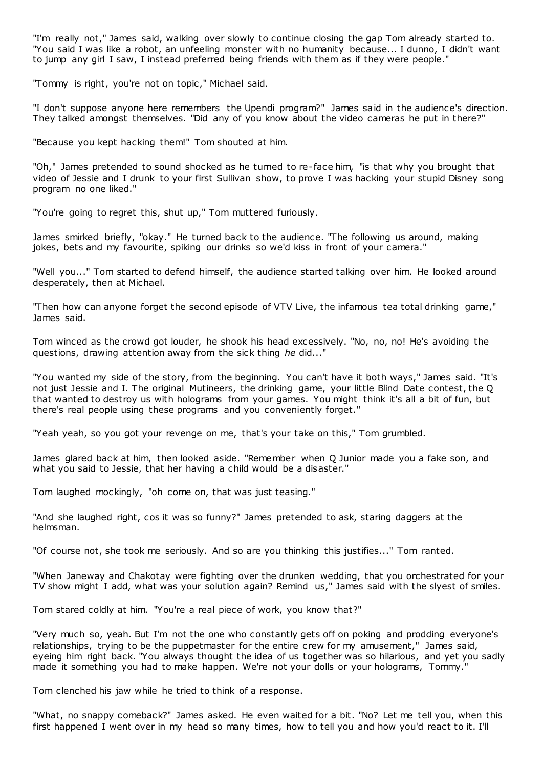"I'm really not," James said, walking over slowly to continue closing the gap Tom already started to. "You said I was like a robot, an unfeeling monster with no humanity because... I dunno, I didn't want to jump any girl I saw, I instead preferred being friends with them as if they were people."

"Tommy is right, you're not on topic ," Michael said.

"I don't suppose anyone here remembers the Upendi program?" James said in the audience's direction. They talked amongst themselves. "Did any of you know about the video cameras he put in there?"

"Because you kept hacking them!" Tom shouted at him.

"Oh," James pretended to sound shocked as he turned to re-face him, "is that why you brought that video of Jessie and I drunk to your first Sullivan show, to prove I was hacking your stupid Disney song program no one liked."

"You're going to regret this, shut up," Tom muttered furiously.

James smirked briefly, "okay." He turned back to the audience. "The following us around, making jokes, bets and my favourite, spiking our drinks so we'd kiss in front of your camera."

"Well you..." Tom started to defend himself, the audience started talking over him. He looked around desperately, then at Michael.

"Then how can anyone forget the second episode of VTV Live, the infamous tea total drinking game," James said.

Tom winced as the crowd got louder, he shook his head excessively. "No, no, no! He's avoiding the questions, drawing attention away from the sick thing *he* did..."

"You wanted my side of the story, from the beginning. You can't have it both ways," James said. "It's not just Jessie and I. The original Mutineers, the drinking game, your little Blind Date contest, the Q that wanted to destroy us with holograms from your games. You might think it's all a bit of fun, but there's real people using these programs and you conveniently forget."

"Yeah yeah, so you got your revenge on me, that's your take on this," Tom grumbled.

James glared back at him, then looked aside. "Remember when Q Junior made you a fake son, and what you said to Jessie, that her having a child would be a disaster."

Tom laughed mockingly, "oh come on, that was just teasing."

"And she laughed right, cos it was so funny?" James pretended to ask, staring daggers at the helmsman.

"Of course not, she took me seriously. And so are you thinking this justifies..." Tom ranted.

"When Janeway and Chakotay were fighting over the drunken wedding, that you orchestrated for your TV show might I add, what was your solution again? Remind us," James said with the slyest of smiles.

Tom stared coldly at him. "You're a real piece of work, you know that?"

"Very much so, yeah. But I'm not the one who constantly gets off on poking and prodding everyone's relationships, trying to be the puppetmaster for the entire crew for my amusement," James said, eyeing him right back. "You always thought the idea of us together was so hilarious, and yet you sadly made it something you had to make happen. We're not your dolls or your holograms, Tommy."

Tom clenched his jaw while he tried to think of a response.

"What, no snappy comeback?" James asked. He even waited for a bit. "No? Let me tell you, when this first happened I went over in my head so many times, how to tell you and how you'd react to it. I'll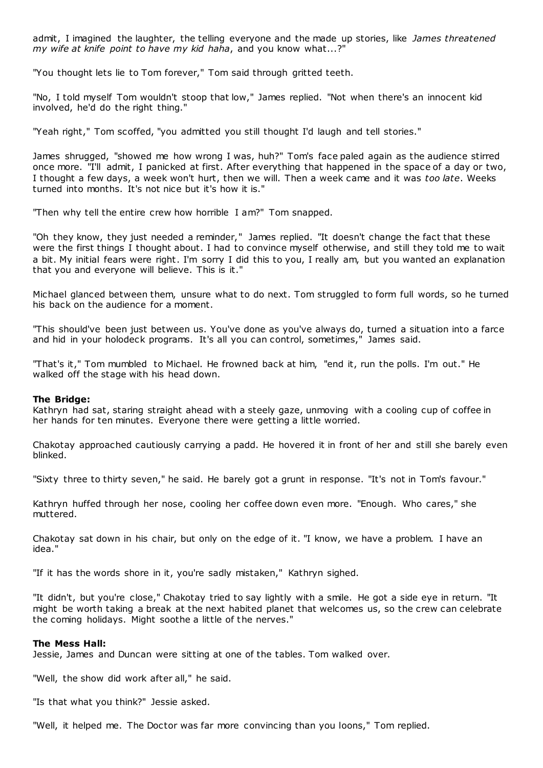admit, I imagined the laughter, the telling everyone and the made up stories, like *James threatened my wife at knife point to have my kid haha*, and you know what...?"

"You thought lets lie to Tom forever," Tom said through gritted teeth.

"No, I told myself Tom wouldn't stoop that low," James replied. "Not when there's an innocent kid involved, he'd do the right thing."

"Yeah right," Tom scoffed, "you admitted you still thought I'd laugh and tell stories."

James shrugged, "showed me how wrong I was, huh?" Tom's face paled again as the audience stirred once more. "I'll admit, I panicked at first. After everything that happened in the space of a day or two, I thought a few days, a week won't hurt, then we will. Then a week came and it was *too late*. Weeks turned into months. It's not nice but it's how it is."

"Then why tell the entire crew how horrible I am?" Tom snapped.

"Oh they know, they just needed a reminder," James replied. "It doesn't change the fact that these were the first things I thought about. I had to convince myself otherwise, and still they told me to wait a bit. My initial fears were right. I'm sorry I did this to you, I really am, but you wanted an explanation that you and everyone will believe. This is it."

Michael glanced between them, unsure what to do next. Tom struggled to form full words, so he turned his back on the audience for a moment.

"This should've been just between us. You've done as you've always do, turned a situation into a farce and hid in your holodeck programs. It's all you can control, sometimes," James said.

"That's it," Tom mumbled to Michael. He frowned back at him, "end it, run the polls. I'm out." He walked off the stage with his head down.

## **The Bridge:**

Kathryn had sat, staring straight ahead with a steely gaze, unmoving with a cooling cup of coffee in her hands for ten minutes. Everyone there were getting a little worried.

Chakotay approached cautiously carrying a padd. He hovered it in front of her and still she barely even blinked.

"Sixty three to thirty seven," he said. He barely got a grunt in response. "It's not in Tom's favour."

Kathryn huffed through her nose, cooling her coffee down even more. "Enough. Who cares," she muttered.

Chakotay sat down in his chair, but only on the edge of it. "I know, we have a problem. I have an idea."

"If it has the words shore in it, you're sadly mistaken," Kathryn sighed.

"It didn't, but you're close," Chakotay tried to say lightly with a smile. He got a side eye in return. "It might be worth taking a break at the next habited planet that welcomes us, so the crew can celebrate the coming holidays. Might soothe a little of the nerves."

## **The Mess Hall:**

Jessie, James and Duncan were sitting at one of the tables. Tom walked over.

"Well, the show did work after all," he said.

"Is that what you think?" Jessie asked.

"Well, it helped me. The Doctor was far more convincing than you loons," Tom replied.